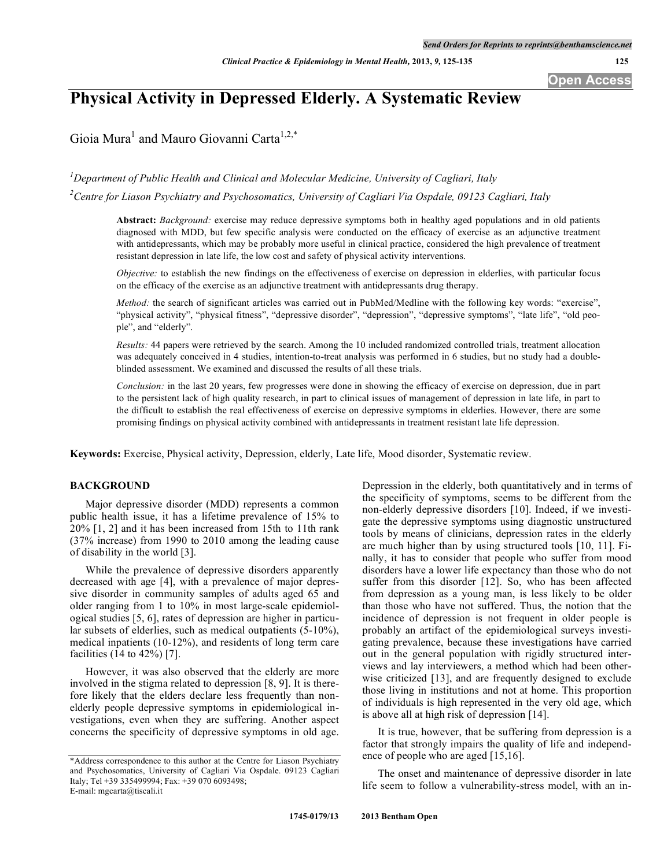# **Physical Activity in Depressed Elderly. A Systematic Review**

Gioia Mura<sup>1</sup> and Mauro Giovanni Carta<sup>1,2,\*</sup>

*1 Department of Public Health and Clinical and Molecular Medicine, University of Cagliari, Italy*

*2 Centre for Liason Psychiatry and Psychosomatics, University of Cagliari Via Ospdale, 09123 Cagliari, Italy*

**Abstract:** *Background:* exercise may reduce depressive symptoms both in healthy aged populations and in old patients diagnosed with MDD, but few specific analysis were conducted on the efficacy of exercise as an adjunctive treatment with antidepressants, which may be probably more useful in clinical practice, considered the high prevalence of treatment resistant depression in late life, the low cost and safety of physical activity interventions.

*Objective:* to establish the new findings on the effectiveness of exercise on depression in elderlies, with particular focus on the efficacy of the exercise as an adjunctive treatment with antidepressants drug therapy.

*Method:* the search of significant articles was carried out in PubMed/Medline with the following key words: "exercise", "physical activity", "physical fitness", "depressive disorder", "depression", "depressive symptoms", "late life", "old people", and "elderly".

*Results:* 44 papers were retrieved by the search. Among the 10 included randomized controlled trials, treatment allocation was adequately conceived in 4 studies, intention-to-treat analysis was performed in 6 studies, but no study had a doubleblinded assessment. We examined and discussed the results of all these trials.

*Conclusion:* in the last 20 years, few progresses were done in showing the efficacy of exercise on depression, due in part to the persistent lack of high quality research, in part to clinical issues of management of depression in late life, in part to the difficult to establish the real effectiveness of exercise on depressive symptoms in elderlies. However, there are some promising findings on physical activity combined with antidepressants in treatment resistant late life depression.

**Keywords:** Exercise, Physical activity, Depression, elderly, Late life, Mood disorder, Systematic review.

# **BACKGROUND**

Major depressive disorder (MDD) represents a common public health issue, it has a lifetime prevalence of 15% to 20% [1, 2] and it has been increased from 15th to 11th rank (37% increase) from 1990 to 2010 among the leading cause of disability in the world [3].

While the prevalence of depressive disorders apparently decreased with age [4], with a prevalence of major depressive disorder in community samples of adults aged 65 and older ranging from 1 to 10% in most large-scale epidemiological studies [5, 6], rates of depression are higher in particular subsets of elderlies, such as medical outpatients (5-10%), medical inpatients (10-12%), and residents of long term care facilities (14 to 42%) [7].

However, it was also observed that the elderly are more involved in the stigma related to depression [8, 9]. It is therefore likely that the elders declare less frequently than nonelderly people depressive symptoms in epidemiological investigations, even when they are suffering. Another aspect concerns the specificity of depressive symptoms in old age. Depression in the elderly, both quantitatively and in terms of the specificity of symptoms, seems to be different from the non-elderly depressive disorders [10]. Indeed, if we investigate the depressive symptoms using diagnostic unstructured tools by means of clinicians, depression rates in the elderly are much higher than by using structured tools [10, 11]. Finally, it has to consider that people who suffer from mood disorders have a lower life expectancy than those who do not suffer from this disorder [12]. So, who has been affected from depression as a young man, is less likely to be older than those who have not suffered. Thus, the notion that the incidence of depression is not frequent in older people is probably an artifact of the epidemiological surveys investigating prevalence, because these investigations have carried out in the general population with rigidly structured interviews and lay interviewers, a method which had been otherwise criticized [13], and are frequently designed to exclude those living in institutions and not at home. This proportion of individuals is high represented in the very old age, which is above all at high risk of depression [14].

It is true, however, that be suffering from depression is a factor that strongly impairs the quality of life and independence of people who are aged [15,16].

The onset and maintenance of depressive disorder in late life seem to follow a vulnerability-stress model, with an in-

<sup>\*</sup>Address correspondence to this author at the Centre for Liason Psychiatry and Psychosomatics, University of Cagliari Via Ospdale. 09123 Cagliari Italy; Tel +39 335499994; Fax: +39 070 6093498; E-mail: mgcarta@tiscali.it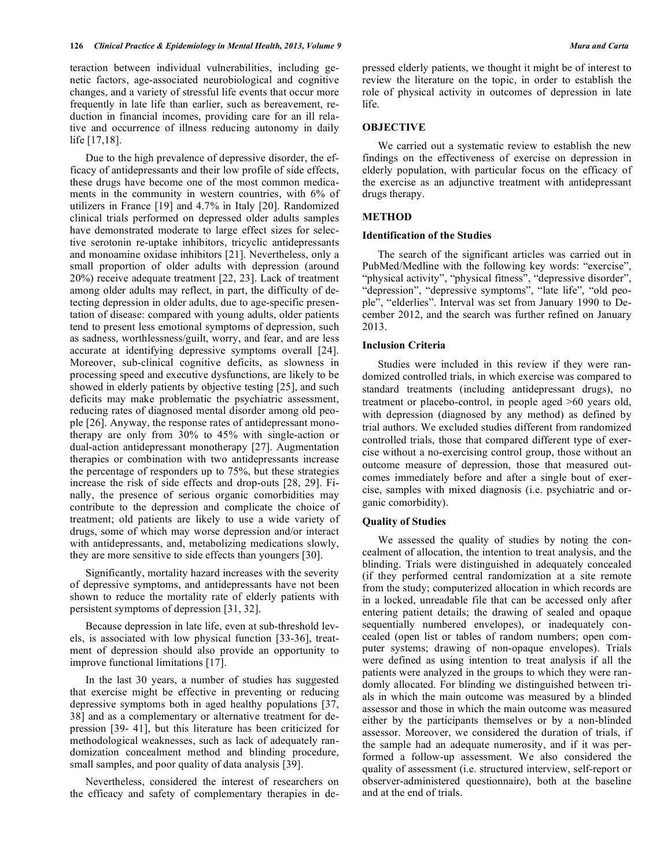teraction between individual vulnerabilities, including genetic factors, age-associated neurobiological and cognitive changes, and a variety of stressful life events that occur more frequently in late life than earlier, such as bereavement, reduction in financial incomes, providing care for an ill relative and occurrence of illness reducing autonomy in daily life [17,18].

Due to the high prevalence of depressive disorder, the efficacy of antidepressants and their low profile of side effects, these drugs have become one of the most common medicaments in the community in western countries, with 6% of utilizers in France [19] and 4.7% in Italy [20]. Randomized clinical trials performed on depressed older adults samples have demonstrated moderate to large effect sizes for selective serotonin re-uptake inhibitors, tricyclic antidepressants and monoamine oxidase inhibitors [21]. Nevertheless, only a small proportion of older adults with depression (around 20%) receive adequate treatment [22, 23]. Lack of treatment among older adults may reflect, in part, the difficulty of detecting depression in older adults, due to age-specific presentation of disease: compared with young adults, older patients tend to present less emotional symptoms of depression, such as sadness, worthlessness/guilt, worry, and fear, and are less accurate at identifying depressive symptoms overall [24]. Moreover, sub-clinical cognitive deficits, as slowness in processing speed and executive dysfunctions, are likely to be showed in elderly patients by objective testing [25], and such deficits may make problematic the psychiatric assessment, reducing rates of diagnosed mental disorder among old people [26]. Anyway, the response rates of antidepressant monotherapy are only from 30% to 45% with single-action or dual-action antidepressant monotherapy [27]. Augmentation therapies or combination with two antidepressants increase the percentage of responders up to 75%, but these strategies increase the risk of side effects and drop-outs [28, 29]. Finally, the presence of serious organic comorbidities may contribute to the depression and complicate the choice of treatment; old patients are likely to use a wide variety of drugs, some of which may worse depression and/or interact with antidepressants, and, metabolizing medications slowly, they are more sensitive to side effects than youngers [30].

Significantly, mortality hazard increases with the severity of depressive symptoms, and antidepressants have not been shown to reduce the mortality rate of elderly patients with persistent symptoms of depression [31, 32].

Because depression in late life, even at sub-threshold levels, is associated with low physical function [33-36], treatment of depression should also provide an opportunity to improve functional limitations [17].

In the last 30 years, a number of studies has suggested that exercise might be effective in preventing or reducing depressive symptoms both in aged healthy populations [37, 38] and as a complementary or alternative treatment for depression [39- 41], but this literature has been criticized for methodological weaknesses, such as lack of adequately randomization concealment method and blinding procedure, small samples, and poor quality of data analysis [39].

Nevertheless, considered the interest of researchers on the efficacy and safety of complementary therapies in depressed elderly patients, we thought it might be of interest to review the literature on the topic, in order to establish the role of physical activity in outcomes of depression in late life.

# **OBJECTIVE**

We carried out a systematic review to establish the new findings on the effectiveness of exercise on depression in elderly population, with particular focus on the efficacy of the exercise as an adjunctive treatment with antidepressant drugs therapy.

# **METHOD**

# **Identification of the Studies**

The search of the significant articles was carried out in PubMed/Medline with the following key words: "exercise", "physical activity", "physical fitness", "depressive disorder", "depression", "depressive symptoms", "late life", "old people", "elderlies". Interval was set from January 1990 to December 2012, and the search was further refined on January 2013.

#### **Inclusion Criteria**

Studies were included in this review if they were randomized controlled trials, in which exercise was compared to standard treatments (including antidepressant drugs), no treatment or placebo-control, in people aged >60 years old, with depression (diagnosed by any method) as defined by trial authors. We excluded studies different from randomized controlled trials, those that compared different type of exercise without a no-exercising control group, those without an outcome measure of depression, those that measured outcomes immediately before and after a single bout of exercise, samples with mixed diagnosis (i.e. psychiatric and organic comorbidity).

# **Quality of Studies**

We assessed the quality of studies by noting the concealment of allocation, the intention to treat analysis, and the blinding. Trials were distinguished in adequately concealed (if they performed central randomization at a site remote from the study; computerized allocation in which records are in a locked, unreadable file that can be accessed only after entering patient details; the drawing of sealed and opaque sequentially numbered envelopes), or inadequately concealed (open list or tables of random numbers; open computer systems; drawing of non-opaque envelopes). Trials were defined as using intention to treat analysis if all the patients were analyzed in the groups to which they were randomly allocated. For blinding we distinguished between trials in which the main outcome was measured by a blinded assessor and those in which the main outcome was measured either by the participants themselves or by a non-blinded assessor. Moreover, we considered the duration of trials, if the sample had an adequate numerosity, and if it was performed a follow-up assessment. We also considered the quality of assessment (i.e. structured interview, self-report or observer-administered questionnaire), both at the baseline and at the end of trials.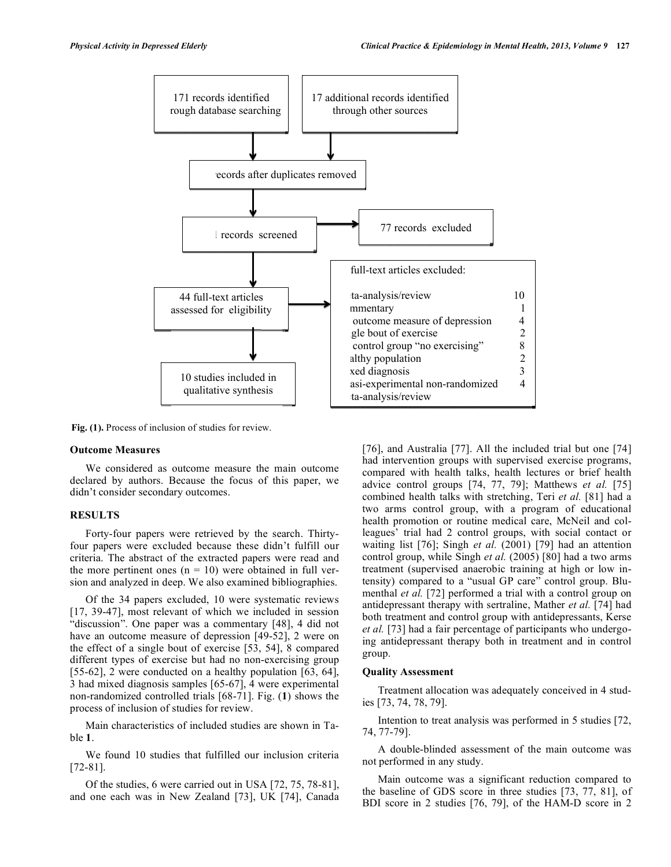

**Fig. (1).** Process of inclusion of studies for review.

# **Outcome Measures**

We considered as outcome measure the main outcome declared by authors. Because the focus of this paper, we didn't consider secondary outcomes.

# **RESULTS**

Forty-four papers were retrieved by the search. Thirtyfour papers were excluded because these didn't fulfill our criteria. The abstract of the extracted papers were read and the more pertinent ones  $(n = 10)$  were obtained in full version and analyzed in deep. We also examined bibliographies.

Of the 34 papers excluded, 10 were systematic reviews [17, 39-47], most relevant of which we included in session "discussion". One paper was a commentary [48], 4 did not have an outcome measure of depression [49-52], 2 were on the effect of a single bout of exercise [53, 54], 8 compared different types of exercise but had no non-exercising group [55-62], 2 were conducted on a healthy population [63, 64], 3 had mixed diagnosis samples [65-67], 4 were experimental non-randomized controlled trials [68-71]. Fig. (**1**) shows the process of inclusion of studies for review.

Main characteristics of included studies are shown in Table **1**.

We found 10 studies that fulfilled our inclusion criteria [72-81].

Of the studies, 6 were carried out in USA [72, 75, 78-81], and one each was in New Zealand [73], UK [74], Canada [76], and Australia [77]. All the included trial but one [74] had intervention groups with supervised exercise programs, compared with health talks, health lectures or brief health advice control groups [74, 77, 79]; Matthews *et al.* [75] combined health talks with stretching, Teri *et al.* [81] had a two arms control group, with a program of educational health promotion or routine medical care, McNeil and colleagues' trial had 2 control groups, with social contact or waiting list [76]; Singh *et al.* (2001) [79] had an attention control group, while Singh *et al.* (2005) [80] had a two arms treatment (supervised anaerobic training at high or low intensity) compared to a "usual GP care" control group. Blumenthal *et al.* [72] performed a trial with a control group on antidepressant therapy with sertraline, Mather *et al.* [74] had both treatment and control group with antidepressants, Kerse *et al.* [73] had a fair percentage of participants who undergoing antidepressant therapy both in treatment and in control group.

### **Quality Assessment**

Treatment allocation was adequately conceived in 4 studies [73, 74, 78, 79].

Intention to treat analysis was performed in 5 studies [72, 74, 77-79].

A double-blinded assessment of the main outcome was not performed in any study.

Main outcome was a significant reduction compared to the baseline of GDS score in three studies [73, 77, 81], of BDI score in 2 studies [76, 79], of the HAM-D score in 2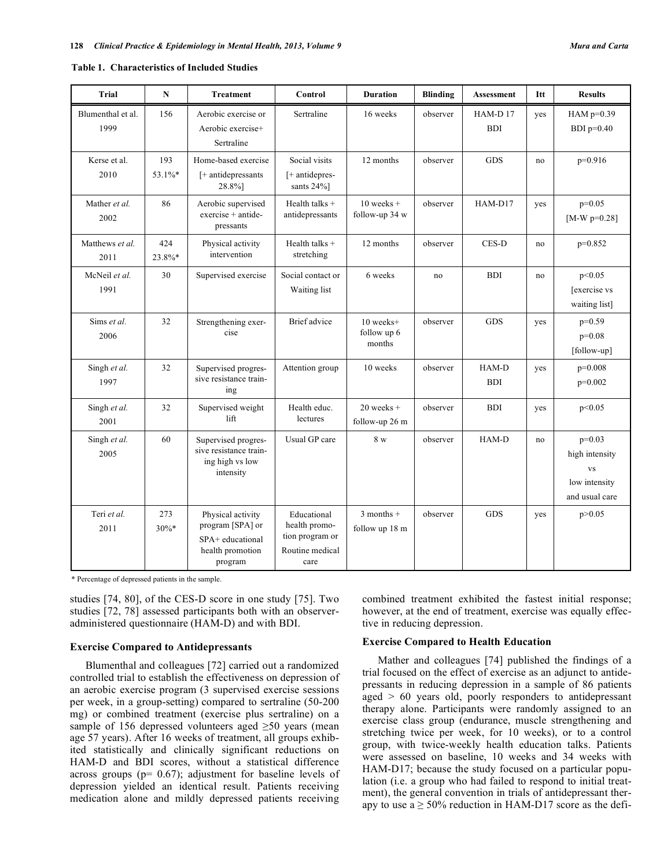| <b>Trial</b>              | $\mathbf N$    | <b>Treatment</b>                                                                         | Control                                                                    | <b>Duration</b>                    | <b>Blinding</b> | <b>Assessment</b>        | Itt | <b>Results</b>                                                             |
|---------------------------|----------------|------------------------------------------------------------------------------------------|----------------------------------------------------------------------------|------------------------------------|-----------------|--------------------------|-----|----------------------------------------------------------------------------|
| Blumenthal et al.<br>1999 | 156            | Aerobic exercise or<br>Aerobic exercise+<br>Sertraline                                   | Sertraline                                                                 | 16 weeks                           | observer        | $HAM-D$ 17<br><b>BDI</b> | yes | HAM $p=0.39$<br>BDI $p=0.40$                                               |
| Kerse et al.<br>2010      | 193<br>53.1%*  | Home-based exercise<br>[+ antidepressants<br>28.8%]                                      | Social visits<br>[+ antidepres-<br>sants 24%]                              | 12 months                          | observer        | <b>GDS</b>               | no  | $p=0.916$                                                                  |
| Mather et al.<br>2002     | 86             | Aerobic supervised<br>$exercise + antide-$<br>pressants                                  | Health talks $+$<br>antidepressants                                        | $10$ weeks +<br>follow-up 34 w     | observer        | HAM-D17                  | yes | $p=0.05$<br>[ $M-W$ p=0.28]                                                |
| Matthews et al.<br>2011   | 424<br>23.8%*  | Physical activity<br>intervention                                                        | Health talks +<br>stretching                                               | 12 months                          | observer        | CES-D                    | no  | $p=0.852$                                                                  |
| McNeil et al.<br>1991     | 30             | Supervised exercise                                                                      | Social contact or<br>Waiting list                                          | 6 weeks                            | no              | <b>BDI</b>               | no  | p<0.05<br>[exercise vs<br>waiting list]                                    |
| Sims et al.<br>2006       | 32             | Strengthening exer-<br>cise                                                              | Brief advice                                                               | 10 weeks+<br>follow up 6<br>months | observer        | <b>GDS</b>               | yes | $p=0.59$<br>$p=0.08$<br>[follow-up]                                        |
| Singh et al.<br>1997      | 32             | Supervised progres-<br>sive resistance train-<br>ing                                     | Attention group                                                            | 10 weeks                           | observer        | HAM-D<br><b>BDI</b>      | yes | $p=0.008$<br>$p=0.002$                                                     |
| Singh et al.<br>2001      | 32             | Supervised weight<br>lift                                                                | Health educ.<br>lectures                                                   | $20$ weeks +<br>follow-up 26 m     | observer        | <b>BDI</b>               | yes | p<0.05                                                                     |
| Singh et al.<br>2005      | 60             | Supervised progres-<br>sive resistance train-<br>ing high vs low<br>intensity            | Usual GP care                                                              | 8 <sub>W</sub>                     | observer        | HAM-D                    | no  | $p=0.03$<br>high intensity<br><b>VS</b><br>low intensity<br>and usual care |
| Teri et al.<br>2011       | 273<br>$30\%*$ | Physical activity<br>program [SPA] or<br>SPA+ educational<br>health promotion<br>program | Educational<br>health promo-<br>tion program or<br>Routine medical<br>care | $3$ months +<br>follow up 18 m     | observer        | <b>GDS</b>               | yes | p > 0.05                                                                   |

\* Percentage of depressed patients in the sample.

studies [74, 80], of the CES-D score in one study [75]. Two studies [72, 78] assessed participants both with an observeradministered questionnaire (HAM-D) and with BDI.

### **Exercise Compared to Antidepressants**

Blumenthal and colleagues [72] carried out a randomized controlled trial to establish the effectiveness on depression of an aerobic exercise program (3 supervised exercise sessions per week, in a group-setting) compared to sertraline (50-200 mg) or combined treatment (exercise plus sertraline) on a sample of 156 depressed volunteers aged  $\geq$ 50 years (mean age 57 years). After 16 weeks of treatment, all groups exhibited statistically and clinically significant reductions on HAM-D and BDI scores, without a statistical difference across groups ( $p= 0.67$ ); adjustment for baseline levels of depression yielded an identical result. Patients receiving medication alone and mildly depressed patients receiving

combined treatment exhibited the fastest initial response; however, at the end of treatment, exercise was equally effective in reducing depression.

### **Exercise Compared to Health Education**

Mather and colleagues [74] published the findings of a trial focused on the effect of exercise as an adjunct to antidepressants in reducing depression in a sample of 86 patients aged > 60 years old, poorly responders to antidepressant therapy alone. Participants were randomly assigned to an exercise class group (endurance, muscle strengthening and stretching twice per week, for 10 weeks), or to a control group, with twice-weekly health education talks. Patients were assessed on baseline, 10 weeks and 34 weeks with HAM-D17; because the study focused on a particular population (i.e. a group who had failed to respond to initial treatment), the general convention in trials of antidepressant therapy to use  $a \ge 50\%$  reduction in HAM-D17 score as the defi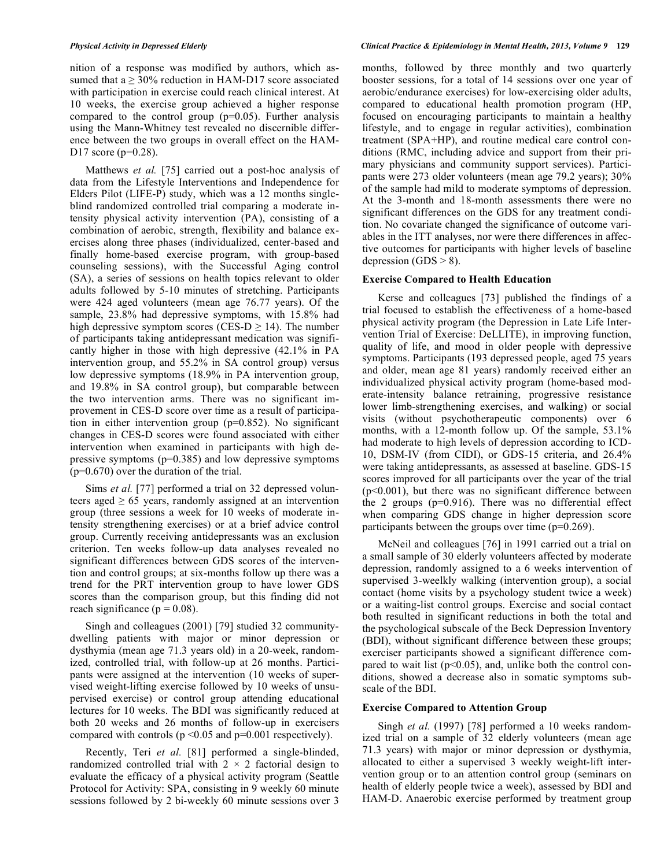nition of a response was modified by authors, which assumed that  $a \ge 30\%$  reduction in HAM-D17 score associated with participation in exercise could reach clinical interest. At 10 weeks, the exercise group achieved a higher response compared to the control group  $(p=0.05)$ . Further analysis using the Mann-Whitney test revealed no discernible difference between the two groups in overall effect on the HAM-D17 score (p=0.28).

Matthews *et al.* [75] carried out a post-hoc analysis of data from the Lifestyle Interventions and Independence for Elders Pilot (LIFE-P) study, which was a 12 months singleblind randomized controlled trial comparing a moderate intensity physical activity intervention (PA), consisting of a combination of aerobic, strength, flexibility and balance exercises along three phases (individualized, center-based and finally home-based exercise program, with group-based counseling sessions), with the Successful Aging control (SA), a series of sessions on health topics relevant to older adults followed by 5-10 minutes of stretching. Participants were 424 aged volunteers (mean age 76.77 years). Of the sample, 23.8% had depressive symptoms, with 15.8% had high depressive symptom scores (CES-D  $\geq$  14). The number of participants taking antidepressant medication was significantly higher in those with high depressive (42.1% in PA intervention group, and 55.2% in SA control group) versus low depressive symptoms (18.9% in PA intervention group, and 19.8% in SA control group), but comparable between the two intervention arms. There was no significant improvement in CES-D score over time as a result of participation in either intervention group (p=0.852). No significant changes in CES-D scores were found associated with either intervention when examined in participants with high depressive symptoms  $(p=0.385)$  and low depressive symptoms (p=0.670) over the duration of the trial.

Sims *et al.* [77] performed a trial on 32 depressed volunteers aged  $\geq 65$  years, randomly assigned at an intervention group (three sessions a week for 10 weeks of moderate intensity strengthening exercises) or at a brief advice control group. Currently receiving antidepressants was an exclusion criterion. Ten weeks follow-up data analyses revealed no significant differences between GDS scores of the intervention and control groups; at six-months follow up there was a trend for the PRT intervention group to have lower GDS scores than the comparison group, but this finding did not reach significance ( $p = 0.08$ ).

Singh and colleagues (2001) [79] studied 32 communitydwelling patients with major or minor depression or dysthymia (mean age 71.3 years old) in a 20-week, randomized, controlled trial, with follow-up at 26 months. Participants were assigned at the intervention (10 weeks of supervised weight-lifting exercise followed by 10 weeks of unsupervised exercise) or control group attending educational lectures for 10 weeks. The BDI was significantly reduced at both 20 weeks and 26 months of follow-up in exercisers compared with controls (p <0.05 and p=0.001 respectively).

Recently, Teri *et al.* [81] performed a single-blinded, randomized controlled trial with  $2 \times 2$  factorial design to evaluate the efficacy of a physical activity program (Seattle Protocol for Activity: SPA, consisting in 9 weekly 60 minute sessions followed by 2 bi-weekly 60 minute sessions over 3 months, followed by three monthly and two quarterly booster sessions, for a total of 14 sessions over one year of aerobic/endurance exercises) for low-exercising older adults, compared to educational health promotion program (HP, focused on encouraging participants to maintain a healthy lifestyle, and to engage in regular activities), combination treatment (SPA+HP), and routine medical care control conditions (RMC, including advice and support from their primary physicians and community support services). Participants were 273 older volunteers (mean age 79.2 years); 30% of the sample had mild to moderate symptoms of depression. At the 3-month and 18-month assessments there were no significant differences on the GDS for any treatment condition. No covariate changed the significance of outcome variables in the ITT analyses, nor were there differences in affective outcomes for participants with higher levels of baseline depression  $(GDS > 8)$ .

#### **Exercise Compared to Health Education**

Kerse and colleagues [73] published the findings of a trial focused to establish the effectiveness of a home-based physical activity program (the Depression in Late Life Intervention Trial of Exercise: DeLLITE), in improving function, quality of life, and mood in older people with depressive symptoms. Participants (193 depressed people, aged 75 years and older, mean age 81 years) randomly received either an individualized physical activity program (home-based moderate-intensity balance retraining, progressive resistance lower limb-strengthening exercises, and walking) or social visits (without psychotherapeutic components) over 6 months, with a 12-month follow up. Of the sample, 53.1% had moderate to high levels of depression according to ICD-10, DSM-IV (from CIDI), or GDS-15 criteria, and 26.4% were taking antidepressants, as assessed at baseline. GDS-15 scores improved for all participants over the year of the trial  $(p<0.001)$ , but there was no significant difference between the 2 groups (p=0.916). There was no differential effect when comparing GDS change in higher depression score participants between the groups over time (p=0.269).

McNeil and colleagues [76] in 1991 carried out a trial on a small sample of 30 elderly volunteers affected by moderate depression, randomly assigned to a 6 weeks intervention of supervised 3-weelkly walking (intervention group), a social contact (home visits by a psychology student twice a week) or a waiting-list control groups. Exercise and social contact both resulted in significant reductions in both the total and the psychological subscale of the Beck Depression Inventory (BDI), without significant difference between these groups; exerciser participants showed a significant difference compared to wait list  $(p<0.05)$ , and, unlike both the control conditions, showed a decrease also in somatic symptoms subscale of the BDI.

#### **Exercise Compared to Attention Group**

Singh *et al.* (1997) [78] performed a 10 weeks randomized trial on a sample of 32 elderly volunteers (mean age 71.3 years) with major or minor depression or dysthymia, allocated to either a supervised 3 weekly weight-lift intervention group or to an attention control group (seminars on health of elderly people twice a week), assessed by BDI and HAM-D. Anaerobic exercise performed by treatment group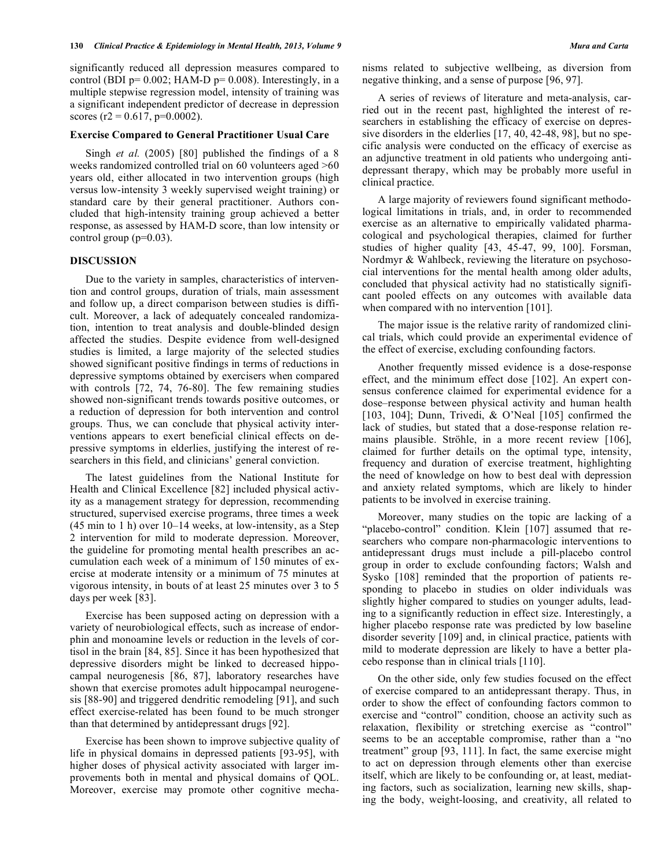significantly reduced all depression measures compared to control (BDI  $p=0.002$ ; HAM-D  $p=0.008$ ). Interestingly, in a multiple stepwise regression model, intensity of training was a significant independent predictor of decrease in depression scores (r2 =  $0.617$ , p= $0.0002$ ).

# **Exercise Compared to General Practitioner Usual Care**

Singh *et al.* (2005) [80] published the findings of a 8 weeks randomized controlled trial on 60 volunteers aged >60 years old, either allocated in two intervention groups (high versus low-intensity 3 weekly supervised weight training) or standard care by their general practitioner. Authors concluded that high-intensity training group achieved a better response, as assessed by HAM-D score, than low intensity or control group  $(p=0.03)$ .

# **DISCUSSION**

Due to the variety in samples, characteristics of intervention and control groups, duration of trials, main assessment and follow up, a direct comparison between studies is difficult. Moreover, a lack of adequately concealed randomization, intention to treat analysis and double-blinded design affected the studies. Despite evidence from well-designed studies is limited, a large majority of the selected studies showed significant positive findings in terms of reductions in depressive symptoms obtained by exercisers when compared with controls [72, 74, 76-80]. The few remaining studies showed non-significant trends towards positive outcomes, or a reduction of depression for both intervention and control groups. Thus, we can conclude that physical activity interventions appears to exert beneficial clinical effects on depressive symptoms in elderlies, justifying the interest of researchers in this field, and clinicians' general conviction.

The latest guidelines from the National Institute for Health and Clinical Excellence [82] included physical activity as a management strategy for depression, recommending structured, supervised exercise programs, three times a week (45 min to 1 h) over 10–14 weeks, at low-intensity, as a Step 2 intervention for mild to moderate depression. Moreover, the guideline for promoting mental health prescribes an accumulation each week of a minimum of 150 minutes of exercise at moderate intensity or a minimum of 75 minutes at vigorous intensity, in bouts of at least 25 minutes over 3 to 5 days per week [83].

Exercise has been supposed acting on depression with a variety of neurobiological effects, such as increase of endorphin and monoamine levels or reduction in the levels of cortisol in the brain [84, 85]. Since it has been hypothesized that depressive disorders might be linked to decreased hippocampal neurogenesis [86, 87], laboratory researches have shown that exercise promotes adult hippocampal neurogenesis [88-90] and triggered dendritic remodeling [91], and such effect exercise-related has been found to be much stronger than that determined by antidepressant drugs [92].

Exercise has been shown to improve subjective quality of life in physical domains in depressed patients [93-95], with higher doses of physical activity associated with larger improvements both in mental and physical domains of QOL. Moreover, exercise may promote other cognitive mechanisms related to subjective wellbeing, as diversion from negative thinking, and a sense of purpose [96, 97].

A series of reviews of literature and meta-analysis, carried out in the recent past, highlighted the interest of researchers in establishing the efficacy of exercise on depressive disorders in the elderlies [17, 40, 42-48, 98], but no specific analysis were conducted on the efficacy of exercise as an adjunctive treatment in old patients who undergoing antidepressant therapy, which may be probably more useful in clinical practice.

A large majority of reviewers found significant methodological limitations in trials, and, in order to recommended exercise as an alternative to empirically validated pharmacological and psychological therapies, claimed for further studies of higher quality [43, 45-47, 99, 100]. Forsman, Nordmyr & Wahlbeck, reviewing the literature on psychosocial interventions for the mental health among older adults, concluded that physical activity had no statistically significant pooled effects on any outcomes with available data when compared with no intervention [101].

The major issue is the relative rarity of randomized clinical trials, which could provide an experimental evidence of the effect of exercise, excluding confounding factors.

Another frequently missed evidence is a dose-response effect, and the minimum effect dose [102]. An expert consensus conference claimed for experimental evidence for a dose–response between physical activity and human health [103, 104]; Dunn, Trivedi, & O'Neal [105] confirmed the lack of studies, but stated that a dose-response relation remains plausible. Ströhle, in a more recent review [106], claimed for further details on the optimal type, intensity, frequency and duration of exercise treatment, highlighting the need of knowledge on how to best deal with depression and anxiety related symptoms, which are likely to hinder patients to be involved in exercise training.

Moreover, many studies on the topic are lacking of a "placebo-control" condition. Klein [107] assumed that researchers who compare non-pharmacologic interventions to antidepressant drugs must include a pill-placebo control group in order to exclude confounding factors; Walsh and Sysko [108] reminded that the proportion of patients responding to placebo in studies on older individuals was slightly higher compared to studies on younger adults, leading to a significantly reduction in effect size. Interestingly, a higher placebo response rate was predicted by low baseline disorder severity [109] and, in clinical practice, patients with mild to moderate depression are likely to have a better placebo response than in clinical trials [110].

On the other side, only few studies focused on the effect of exercise compared to an antidepressant therapy. Thus, in order to show the effect of confounding factors common to exercise and "control" condition, choose an activity such as relaxation, flexibility or stretching exercise as "control" seems to be an acceptable compromise, rather than a "no treatment" group [93, 111]. In fact, the same exercise might to act on depression through elements other than exercise itself, which are likely to be confounding or, at least, mediating factors, such as socialization, learning new skills, shaping the body, weight-loosing, and creativity, all related to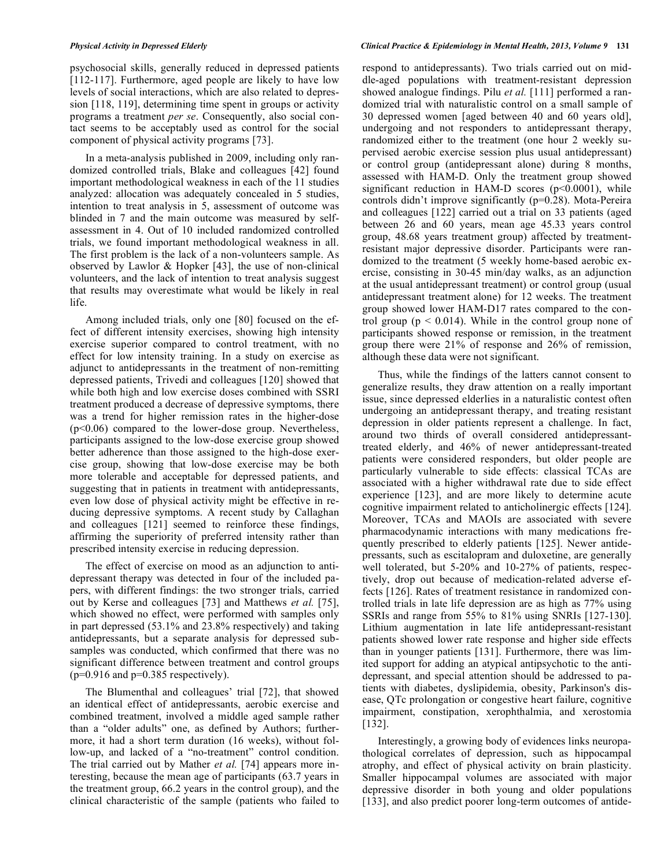psychosocial skills, generally reduced in depressed patients [112-117]. Furthermore, aged people are likely to have low levels of social interactions, which are also related to depression [118, 119], determining time spent in groups or activity programs a treatment *per se*. Consequently, also social contact seems to be acceptably used as control for the social component of physical activity programs [73].

In a meta-analysis published in 2009, including only randomized controlled trials, Blake and colleagues [42] found important methodological weakness in each of the 11 studies analyzed: allocation was adequately concealed in 5 studies, intention to treat analysis in 5, assessment of outcome was blinded in 7 and the main outcome was measured by selfassessment in 4. Out of 10 included randomized controlled trials, we found important methodological weakness in all. The first problem is the lack of a non-volunteers sample. As observed by Lawlor & Hopker [43], the use of non-clinical volunteers, and the lack of intention to treat analysis suggest that results may overestimate what would be likely in real life.

Among included trials, only one [80] focused on the effect of different intensity exercises, showing high intensity exercise superior compared to control treatment, with no effect for low intensity training. In a study on exercise as adjunct to antidepressants in the treatment of non-remitting depressed patients, Trivedi and colleagues [120] showed that while both high and low exercise doses combined with SSRI treatment produced a decrease of depressive symptoms, there was a trend for higher remission rates in the higher-dose (p<0.06) compared to the lower-dose group. Nevertheless, participants assigned to the low-dose exercise group showed better adherence than those assigned to the high-dose exercise group, showing that low-dose exercise may be both more tolerable and acceptable for depressed patients, and suggesting that in patients in treatment with antidepressants, even low dose of physical activity might be effective in reducing depressive symptoms. A recent study by Callaghan and colleagues [121] seemed to reinforce these findings, affirming the superiority of preferred intensity rather than prescribed intensity exercise in reducing depression.

The effect of exercise on mood as an adjunction to antidepressant therapy was detected in four of the included papers, with different findings: the two stronger trials, carried out by Kerse and colleagues [73] and Matthews *et al.* [75], which showed no effect, were performed with samples only in part depressed (53.1% and 23.8% respectively) and taking antidepressants, but a separate analysis for depressed subsamples was conducted, which confirmed that there was no significant difference between treatment and control groups  $(p=0.916$  and  $p=0.385$  respectively).

The Blumenthal and colleagues' trial [72], that showed an identical effect of antidepressants, aerobic exercise and combined treatment, involved a middle aged sample rather than a "older adults" one, as defined by Authors; furthermore, it had a short term duration (16 weeks), without follow-up, and lacked of a "no-treatment" control condition. The trial carried out by Mather *et al.* [74] appears more interesting, because the mean age of participants (63.7 years in the treatment group, 66.2 years in the control group), and the clinical characteristic of the sample (patients who failed to respond to antidepressants). Two trials carried out on middle-aged populations with treatment-resistant depression showed analogue findings. Pilu *et al.* [111] performed a randomized trial with naturalistic control on a small sample of 30 depressed women [aged between 40 and 60 years old], undergoing and not responders to antidepressant therapy, randomized either to the treatment (one hour 2 weekly supervised aerobic exercise session plus usual antidepressant) or control group (antidepressant alone) during 8 months, assessed with HAM-D. Only the treatment group showed significant reduction in HAM-D scores  $(p<0.0001)$ , while controls didn't improve significantly (p=0.28). Mota-Pereira and colleagues [122] carried out a trial on 33 patients (aged between 26 and 60 years, mean age 45.33 years control group, 48.68 years treatment group) affected by treatmentresistant major depressive disorder. Participants were randomized to the treatment (5 weekly home-based aerobic exercise, consisting in 30-45 min/day walks, as an adjunction at the usual antidepressant treatment) or control group (usual antidepressant treatment alone) for 12 weeks. The treatment group showed lower HAM-D17 rates compared to the control group ( $p \le 0.014$ ). While in the control group none of participants showed response or remission, in the treatment group there were 21% of response and 26% of remission, although these data were not significant.

Thus, while the findings of the latters cannot consent to generalize results, they draw attention on a really important issue, since depressed elderlies in a naturalistic contest often undergoing an antidepressant therapy, and treating resistant depression in older patients represent a challenge. In fact, around two thirds of overall considered antidepressanttreated elderly, and 46% of newer antidepressant-treated patients were considered responders, but older people are particularly vulnerable to side effects: classical TCAs are associated with a higher withdrawal rate due to side effect experience [123], and are more likely to determine acute cognitive impairment related to anticholinergic effects [124]. Moreover, TCAs and MAOIs are associated with severe pharmacodynamic interactions with many medications frequently prescribed to elderly patients [125]. Newer antidepressants, such as escitalopram and duloxetine, are generally well tolerated, but 5-20% and 10-27% of patients, respectively, drop out because of medication-related adverse effects [126]. Rates of treatment resistance in randomized controlled trials in late life depression are as high as 77% using SSRIs and range from 55% to 81% using SNRIs [127-130]. Lithium augmentation in late life antidepressant-resistant patients showed lower rate response and higher side effects than in younger patients [131]. Furthermore, there was limited support for adding an atypical antipsychotic to the antidepressant, and special attention should be addressed to patients with diabetes, dyslipidemia, obesity, Parkinson's disease, QTc prolongation or congestive heart failure, cognitive impairment, constipation, xerophthalmia, and xerostomia [132].

Interestingly, a growing body of evidences links neuropathological correlates of depression, such as hippocampal atrophy, and effect of physical activity on brain plasticity. Smaller hippocampal volumes are associated with major depressive disorder in both young and older populations [133], and also predict poorer long-term outcomes of antide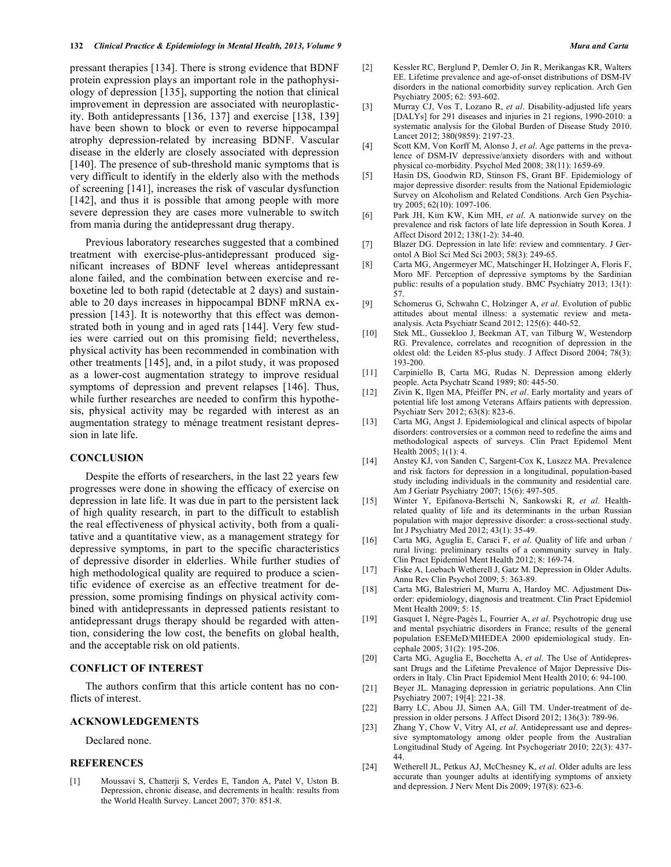pressant therapies [134]. There is strong evidence that BDNF protein expression plays an important role in the pathophysiology of depression [135], supporting the notion that clinical improvement in depression are associated with neuroplasticity. Both antidepressants [136, 137] and exercise [138, 139] have been shown to block or even to reverse hippocampal atrophy depression-related by increasing BDNF. Vascular disease in the elderly are closely associated with depression [140]. The presence of sub-threshold manic symptoms that is very difficult to identify in the elderly also with the methods of screening [141], increases the risk of vascular dysfunction [142], and thus it is possible that among people with more severe depression they are cases more vulnerable to switch from mania during the antidepressant drug therapy.

Previous laboratory researches suggested that a combined treatment with exercise-plus-antidepressant produced significant increases of BDNF level whereas antidepressant alone failed, and the combination between exercise and reboxetine led to both rapid (detectable at 2 days) and sustainable to 20 days increases in hippocampal BDNF mRNA expression [143]. It is noteworthy that this effect was demonstrated both in young and in aged rats [144]. Very few studies were carried out on this promising field; nevertheless, physical activity has been recommended in combination with other treatments [145], and, in a pilot study, it was proposed as a lower-cost augmentation strategy to improve residual symptoms of depression and prevent relapses [146]. Thus, while further researches are needed to confirm this hypothesis, physical activity may be regarded with interest as an augmentation strategy to ménage treatment resistant depression in late life.

# **CONCLUSION**

Despite the efforts of researchers, in the last 22 years few progresses were done in showing the efficacy of exercise on depression in late life. It was due in part to the persistent lack of high quality research, in part to the difficult to establish the real effectiveness of physical activity, both from a qualitative and a quantitative view, as a management strategy for depressive symptoms, in part to the specific characteristics of depressive disorder in elderlies. While further studies of high methodological quality are required to produce a scientific evidence of exercise as an effective treatment for depression, some promising findings on physical activity combined with antidepressants in depressed patients resistant to antidepressant drugs therapy should be regarded with attention, considering the low cost, the benefits on global health, and the acceptable risk on old patients.

# **CONFLICT OF INTEREST**

The authors confirm that this article content has no conflicts of interest.

# **ACKNOWLEDGEMENTS**

Declared none.

# **REFERENCES**

[1] Moussavi S, Chatterji S, Verdes E, Tandon A, Patel V, Uston B. Depression, chronic disease, and decrements in health: results from the World Health Survey. Lancet 2007; 370: 851-8.

- [2] Kessler RC, Berglund P, Demler O, Jin R, Merikangas KR, Walters EE. Lifetime prevalence and age-of-onset distributions of DSM-IV disorders in the national comorbidity survey replication. Arch Gen Psychiatry 2005; 62: 593-602.
- [3] Murray CJ, Vos T, Lozano R, *et al*. Disability-adjusted life years [DALYs] for 291 diseases and injuries in 21 regions, 1990-2010: a systematic analysis for the Global Burden of Disease Study 2010. Lancet 2012; 380(9859): 2197-23.
- [4] Scott KM, Von Korff M, Alonso J, *et al*. Age patterns in the prevalence of DSM-IV depressive/anxiety disorders with and without physical co-morbidity. Psychol Med 2008; 38(11): 1659-69.
- [5] Hasin DS, Goodwin RD, Stinson FS, Grant BF. Epidemiology of major depressive disorder: results from the National Epidemiologic Survey on Alcoholism and Related Conditions. Arch Gen Psychiatry 2005; 62(10): 1097-106.
- [6] Park JH, Kim KW, Kim MH, *et al*. A nationwide survey on the prevalence and risk factors of late life depression in South Korea. J Affect Disord 2012; 138(1-2): 34-40.
- [7] Blazer DG. Depression in late life: review and commentary. J Gerontol A Biol Sci Med Sci 2003; 58(3): 249-65.
- [8] Carta MG, Angermeyer MC, Matschinger H, Holzinger A, Floris F, Moro MF. Perception of depressive symptoms by the Sardinian public: results of a population study. BMC Psychiatry 2013; 13(1): 57.
- [9] Schomerus G, Schwahn C, Holzinger A, *et al*. Evolution of public attitudes about mental illness: a systematic review and metaanalysis. Acta Psychiatr Scand 2012; 125(6): 440-52.
- [10] Stek ML, Gussekloo J, Beekman AT, van Tilburg W, Westendorp RG. Prevalence, correlates and recognition of depression in the oldest old: the Leiden 85-plus study. J Affect Disord 2004; 78(3): 193-200.
- [11] Carpiniello B, Carta MG, Rudas N. Depression among elderly people. Acta Psychatr Scand 1989; 80: 445-50.
- [12] Zivin K, Ilgen MA, Pfeiffer PN, *et al*. Early mortality and years of potential life lost among Veterans Affairs patients with depression. Psychiatr Serv 2012; 63(8): 823-6.
- [13] Carta MG, Angst J. Epidemiological and clinical aspects of bipolar disorders: controversies or a common need to redefine the aims and methodological aspects of surveys. Clin Pract Epidemol Ment Health 2005; 1(1): 4.
- [14] Anstey KJ, von Sanden C, Sargent-Cox K, Luszcz MA. Prevalence and risk factors for depression in a longitudinal, population-based study including individuals in the community and residential care. Am J Geriatr Psychiatry 2007; 15(6): 497-505.
- [15] Winter Y, Epifanova-Bertschi N, Sankowski R, *et al*. Healthrelated quality of life and its determinants in the urban Russian population with major depressive disorder: a cross-sectional study. Int J Psychiatry Med 2012; 43(1): 35-49.
- [16] Carta MG, Aguglia E, Caraci F, *et al*. Quality of life and urban / rural living: preliminary results of a community survey in Italy. Clin Pract Epidemiol Ment Health 2012; 8: 169-74.
- [17] Fiske A, Loebach Wetherell J, Gatz M. Depression in Older Adults. Annu Rev Clin Psychol 2009; 5: 363-89.
- [18] Carta MG, Balestrieri M, Murru A, Hardoy MC. Adjustment Disorder: epidemiology, diagnosis and treatment. Clin Pract Epidemiol Ment Health 2009; 5: 15.
- [19] Gasquet I, Nègre-Pagès L, Fourrier A, *et al*. Psychotropic drug use and mental psychiatric disorders in France; results of the general population ESEMeD/MHEDEA 2000 epidemiological study. Encephale 2005; 31(2): 195-206.
- [20] Carta MG, Aguglia E, Bocchetta A, *et al*. The Use of Antidepressant Drugs and the Lifetime Prevalence of Major Depressive Disorders in Italy. Clin Pract Epidemiol Ment Health 2010; 6: 94-100.
- [21] Beyer JL. Managing depression in geriatric populations. Ann Clin Psychiatry 2007; 19[4]: 221-38.
- [22] Barry LC, Abou JJ, Simen AA, Gill TM. Under-treatment of depression in older persons. J Affect Disord 2012; 136(3): 789-96.
- [23] Zhang Y, Chow V, Vitry AI, *et al*. Antidepressant use and depressive symptomatology among older people from the Australian Longitudinal Study of Ageing. Int Psychogeriatr 2010; 22(3): 437- 44.
- [24] Wetherell JL, Petkus AJ, McChesney K, *et al*. Older adults are less accurate than younger adults at identifying symptoms of anxiety and depression. J Nerv Ment Dis 2009; 197(8): 623-6.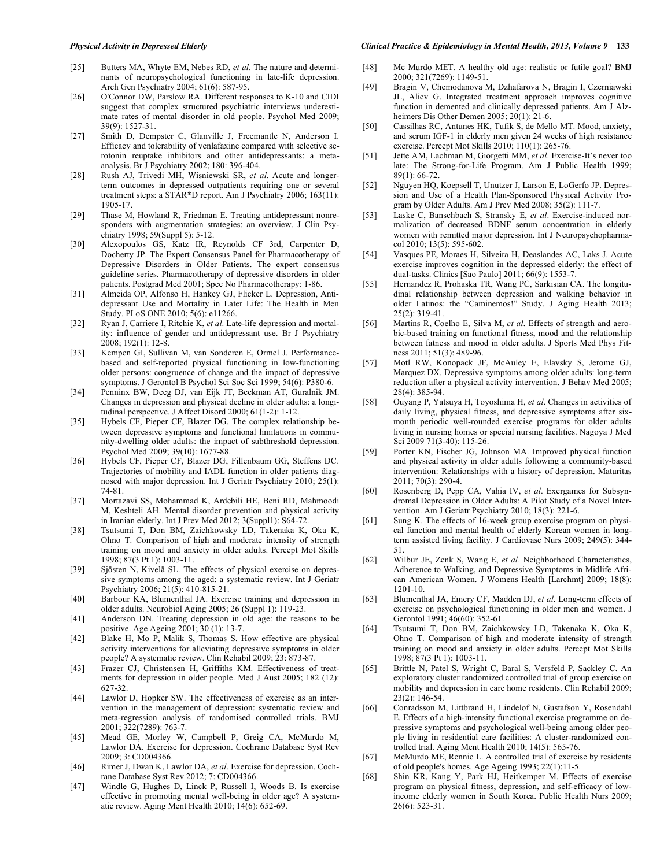- [25] Butters MA, Whyte EM, Nebes RD, *et al*. The nature and determinants of neuropsychological functioning in late-life depression. Arch Gen Psychiatry 2004; 61(6): 587-95.
- [26] O'Connor DW, Parslow RA. Different responses to K-10 and CIDI suggest that complex structured psychiatric interviews underestimate rates of mental disorder in old people. Psychol Med 2009; 39(9): 1527-31.
- [27] Smith D, Dempster C, Glanville J, Freemantle N, Anderson I. Efficacy and tolerability of venlafaxine compared with selective serotonin reuptake inhibitors and other antidepressants: a metaanalysis. Br J Psychiatry 2002; 180: 396-404.
- [28] Rush AJ, Trivedi MH, Wisniewski SR, *et al*. Acute and longerterm outcomes in depressed outpatients requiring one or several treatment steps: a STAR\*D report. Am J Psychiatry 2006; 163(11): 1905-17.
- [29] Thase M, Howland R, Friedman E. Treating antidepressant nonresponders with augmentation strategies: an overview. J Clin Psychiatry 1998; 59(Suppl 5): 5-12.
- [30] Alexopoulos GS, Katz IR, Reynolds CF 3rd, Carpenter D, Docherty JP. The Expert Consensus Panel for Pharmacotherapy of Depressive Disorders in Older Patients. The expert consensus guideline series. Pharmacotherapy of depressive disorders in older patients. Postgrad Med 2001; Spec No Pharmacotherapy: 1-86.
- [31] Almeida OP, Alfonso H, Hankey GJ, Flicker L. Depression, Antidepressant Use and Mortality in Later Life: The Health in Men Study. PLoS ONE 2010; 5(6): e11266.
- [32] Ryan J, Carriere I, Ritchie K, *et al*. Late-life depression and mortality: influence of gender and antidepressant use. Br J Psychiatry 2008; 192(1): 12-8.
- [33] Kempen GI, Sullivan M, van Sonderen E, Ormel J. Performancebased and self-reported physical functioning in low-functioning older persons: congruence of change and the impact of depressive symptoms. J Gerontol B Psychol Sci Soc Sci 1999; 54(6): P380-6.
- [34] Penninx BW, Deeg DJ, van Eijk JT, Beekman AT, Guralnik JM. Changes in depression and physical decline in older adults: a longitudinal perspective. J Affect Disord 2000; 61(1-2): 1-12.
- [35] Hybels CF, Pieper CF, Blazer DG. The complex relationship between depressive symptoms and functional limitations in community-dwelling older adults: the impact of subthreshold depression. Psychol Med 2009; 39(10): 1677-88.
- [36] Hybels CF, Pieper CF, Blazer DG, Fillenbaum GG, Steffens DC. Trajectories of mobility and IADL function in older patients diagnosed with major depression. Int J Geriatr Psychiatry 2010; 25(1): 74-81.
- [37] Mortazavi SS, Mohammad K, Ardebili HE, Beni RD, Mahmoodi M, Keshteli AH. Mental disorder prevention and physical activity in Iranian elderly. Int J Prev Med 2012; 3(Suppl1): S64-72.
- [38] Tsutsumi T, Don BM, Zaichkowsky LD, Takenaka K, Oka K, Ohno T. Comparison of high and moderate intensity of strength training on mood and anxiety in older adults. Percept Mot Skills 1998; 87(3 Pt 1): 1003-11.
- [39] Sjösten N, Kivelä SL. The effects of physical exercise on depressive symptoms among the aged: a systematic review. Int J Geriatr Psychiatry 2006; 21(5): 410-815-21.
- [40] Barbour KA, Blumenthal JA. Exercise training and depression in older adults. Neurobiol Aging 2005; 26 (Suppl 1): 119-23.
- [41] Anderson DN. Treating depression in old age: the reasons to be positive. Age Ageing 2001; 30 (1): 13-7.
- [42] Blake H, Mo P, Malik S, Thomas S. How effective are physical activity interventions for alleviating depressive symptoms in older people? A systematic review. Clin Rehabil 2009; 23: 873-87.
- [43] Frazer CJ, Christensen H, Griffiths KM. Effectiveness of treatments for depression in older people. Med J Aust 2005; 182 (12): 627-32.
- [44] Lawlor D, Hopker SW. The effectiveness of exercise as an intervention in the management of depression: systematic review and meta-regression analysis of randomised controlled trials. BMJ 2001; 322(7289): 763-7.
- [45] Mead GE, Morley W, Campbell P, Greig CA, McMurdo M, Lawlor DA. Exercise for depression. Cochrane Database Syst Rev 2009; 3: CD004366.
- [46] Rimer J, Dwan K, Lawlor DA, *et al*. Exercise for depression. Cochrane Database Syst Rev 2012; 7: CD004366.
- [47] Windle G, Hughes D, Linck P, Russell I, Woods B. Is exercise effective in promoting mental well-being in older age? A systematic review. Aging Ment Health 2010; 14(6): 652-69.

#### *Physical Activity in Depressed Elderly Clinical Practice & Epidemiology in Mental Health, 2013, Volume 9* **133**

- [48] Mc Murdo MET. A healthy old age: realistic or futile goal? BMJ 2000; 321(7269): 1149-51.
- [49] Bragin V, Chemodanova M, Dzhafarova N, Bragin I, Czerniawski JL, Aliev G. Integrated treatment approach improves cognitive function in demented and clinically depressed patients. Am J Alzheimers Dis Other Demen 2005; 20(1): 21-6.
- [50] Cassilhas RC, Antunes HK, Tufik S, de Mello MT. Mood, anxiety, and serum IGF-1 in elderly men given 24 weeks of high resistance exercise. Percept Mot Skills 2010; 110(1): 265-76.
- [51] Jette AM, Lachman M, Giorgetti MM, *et al*. Exercise-It's never too late: The Strong-for-Life Program. Am J Public Health 1999; 89(1): 66-72.
- [52] Nguyen HQ, Koepsell T, Unutzer J, Larson E, LoGerfo JP. Depression and Use of a Health Plan-Sponsored Physical Activity Program by Older Adults. Am J Prev Med 2008; 35(2): 111-7.
- [53] Laske C, Banschbach S, Stransky E, *et al*. Exercise-induced normalization of decreased BDNF serum concentration in elderly women with remitted major depression. Int J Neuropsychopharmacol 2010; 13(5): 595-602.
- [54] Vasques PE, Moraes H, Silveira H, Deaslandes AC, Laks J. Acute exercise improves cognition in the depressed elderly: the effect of dual-tasks. Clinics [Sao Paulo] 2011; 66(9): 1553-7.
- [55] Hernandez R, Prohaska TR, Wang PC, Sarkisian CA. The longitudinal relationship between depression and walking behavior in older Latinos: the "Caminemos!" Study. J Aging Health 2013; 25(2): 319-41.
- [56] Martins R, Coelho E, Silva M, *et al*. Effects of strength and aerobic-based training on functional fitness, mood and the relationship between fatness and mood in older adults. J Sports Med Phys Fitness 2011; 51(3): 489-96.
- [57] Motl RW, Konopack JF, McAuley E, Elavsky S, Jerome GJ, Marquez DX. Depressive symptoms among older adults: long-term reduction after a physical activity intervention. J Behav Med 2005; 28(4): 385-94.
- [58] Ouyang P, Yatsuya H, Toyoshima H, *et al*. Changes in activities of daily living, physical fitness, and depressive symptoms after sixmonth periodic well-rounded exercise programs for older adults living in nursing homes or special nursing facilities. Nagoya J Med Sci 2009 71(3-40): 115-26.
- [59] Porter KN, Fischer JG, Johnson MA. Improved physical function and physical activity in older adults following a community-based intervention: Relationships with a history of depression. Maturitas 2011; 70(3): 290-4.
- [60] Rosenberg D, Pepp CA, Vahia IV, *et al*. Exergames for Subsyndromal Depression in Older Adults: A Pilot Study of a Novel Intervention. Am J Geriatr Psychiatry 2010; 18(3): 221-6.
- [61] Sung K. The effects of 16-week group exercise program on physical function and mental health of elderly Korean women in longterm assisted living facility. J Cardiovasc Nurs 2009; 249(5): 344- 51.
- [62] Wilbur JE, Zenk S, Wang E, *et al*. Neighborhood Characteristics, Adherence to Walking, and Depressive Symptoms in Midlife African American Women. J Womens Health [Larchmt] 2009; 18(8): 1201-10.
- [63] Blumenthal JA, Emery CF, Madden DJ, *et al*. Long-term effects of exercise on psychological functioning in older men and women. J Gerontol 1991; 46(60): 352-61.
- [64] Tsutsumi T, Don BM, Zaichkowsky LD, Takenaka K, Oka K, Ohno T. Comparison of high and moderate intensity of strength training on mood and anxiety in older adults. Percept Mot Skills 1998; 87(3 Pt 1): 1003-11.
- [65] Brittle N, Patel S, Wright C, Baral S, Versfeld P, Sackley C. An exploratory cluster randomized controlled trial of group exercise on mobility and depression in care home residents. Clin Rehabil 2009; 23(2): 146-54.
- [66] Conradsson M, Littbrand H, Lindelof N, Gustafson Y, Rosendahl E. Effects of a high-intensity functional exercise programme on depressive symptoms and psychological well-being among older people living in residential care facilities: A cluster-randomized controlled trial. Aging Ment Health 2010; 14(5): 565-76.
- [67] McMurdo ME, Rennie L. A controlled trial of exercise by residents of old people's homes. Age Ageing 1993; 22(1):11-5.
- [68] Shin KR, Kang Y, Park HJ, Heitkemper M. Effects of exercise program on physical fitness, depression, and self-efficacy of lowincome elderly women in South Korea. Public Health Nurs 2009; 26(6): 523-31.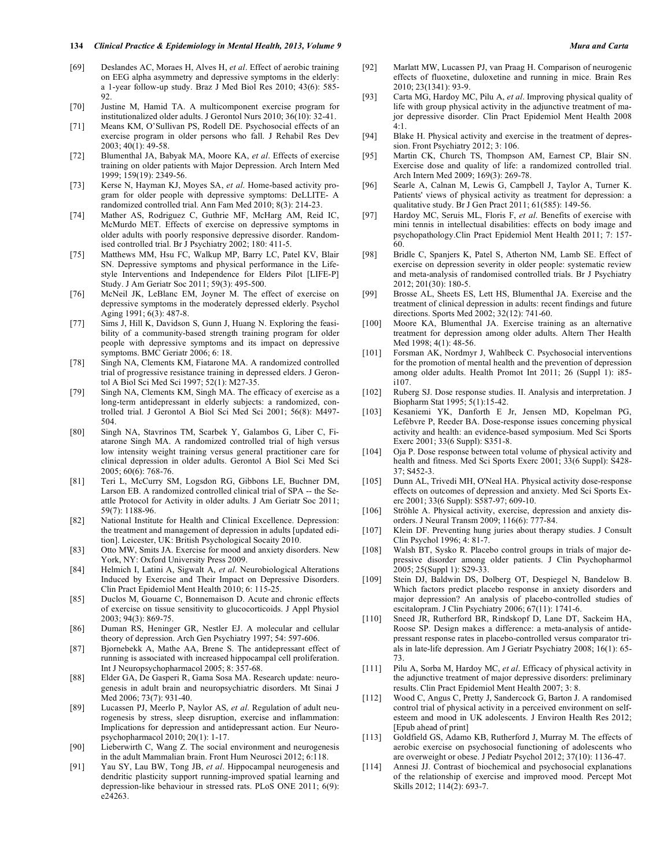#### **134** *Clinical Practice & Epidemiology in Mental Health, 2013, Volume 9 Mura and Carta*

- [69] Deslandes AC, Moraes H, Alves H, *et al*. Effect of aerobic training on EEG alpha asymmetry and depressive symptoms in the elderly: a 1-year follow-up study. Braz J Med Biol Res 2010; 43(6): 585-  $92.$
- [70] Justine M, Hamid TA. A multicomponent exercise program for institutionalized older adults. J Gerontol Nurs 2010; 36(10): 32-41.
- [71] Means KM, O'Sullivan PS, Rodell DE. Psychosocial effects of an exercise program in older persons who fall. J Rehabil Res Dev 2003; 40(1): 49-58.
- [72] Blumenthal JA, Babyak MA, Moore KA, *et al*. Effects of exercise training on older patients with Major Depression. Arch Intern Med 1999; 159(19): 2349-56.
- [73] Kerse N, Hayman KJ, Moyes SA, *et al*. Home-based activity program for older people with depressive symptoms: DeLLITE- A randomized controlled trial. Ann Fam Med 2010; 8(3): 214-23.
- [74] Mather AS, Rodriguez C, Guthrie MF, McHarg AM, Reid IC, McMurdo MET. Effects of exercise on depressive symptoms in older adults with poorly responsive depressive disorder. Randomised controlled trial. Br J Psychiatry 2002; 180: 411-5.
- [75] Matthews MM, Hsu FC, Walkup MP, Barry LC, Patel KV, Blair SN. Depressive symptoms and physical performance in the Lifestyle Interventions and Independence for Elders Pilot [LIFE-P] Study. J Am Geriatr Soc 2011; 59(3): 495-500.
- [76] McNeil JK, LeBlanc EM, Joyner M. The effect of exercise on depressive symptoms in the moderately depressed elderly. Psychol Aging 1991; 6(3): 487-8.
- [77] Sims J, Hill K, Davidson S, Gunn J, Huang N. Exploring the feasibility of a community-based strength training program for older people with depressive symptoms and its impact on depressive symptoms. BMC Geriatr 2006; 6: 18.
- [78] Singh NA, Clements KM, Fiatarone MA. A randomized controlled trial of progressive resistance training in depressed elders. J Gerontol A Biol Sci Med Sci 1997; 52(1): M27-35.
- [79] Singh NA, Clements KM, Singh MA. The efficacy of exercise as a long-term antidepressant in elderly subjects: a randomized, controlled trial. J Gerontol A Biol Sci Med Sci 2001; 56(8): M497- 504.
- [80] Singh NA, Stavrinos TM, Scarbek Y, Galambos G, Liber C, Fiatarone Singh MA. A randomized controlled trial of high versus low intensity weight training versus general practitioner care for clinical depression in older adults. Gerontol A Biol Sci Med Sci 2005; 60(6): 768-76.
- [81] Teri L, McCurry SM, Logsdon RG, Gibbons LE, Buchner DM, Larson EB. A randomized controlled clinical trial of SPA -- the Seattle Protocol for Activity in older adults. J Am Geriatr Soc 2011; 59(7): 1188-96.
- [82] National Institute for Health and Clinical Excellence. Depression: the treatment and management of depression in adults [updated edition]. Leicester, UK: British Psychological Socaity 2010.
- [83] Otto MW, Smits JA. Exercise for mood and anxiety disorders. New York, NY: Oxford University Press 2009.
- [84] Helmich I, Latini A, Sigwalt A, *et al*. Neurobiological Alterations Induced by Exercise and Their Impact on Depressive Disorders. Clin Pract Epidemiol Ment Health 2010; 6: 115-25.
- [85] Duclos M, Gouarne C, Bonnemaison D. Acute and chronic effects of exercise on tissue sensitivity to glucocorticoids. J Appl Physiol 2003; 94(3): 869-75.
- [86] Duman RS, Heninger GR, Nestler EJ. A molecular and cellular theory of depression. Arch Gen Psychiatry 1997; 54: 597-606.
- [87] Bjornebekk A, Mathe AA, Brene S. The antidepressant effect of running is associated with increased hippocampal cell proliferation. Int J Neuropsychopharmacol 2005; 8: 357-68.
- [88] Elder GA, De Gasperi R, Gama Sosa MA. Research update: neurogenesis in adult brain and neuropsychiatric disorders. Mt Sinai J Med 2006; 73(7): 931-40.
- [89] Lucassen PJ, Meerlo P, Naylor AS, *et al*. Regulation of adult neurogenesis by stress, sleep disruption, exercise and inflammation: Implications for depression and antidepressant action. Eur Neuropsychopharmacol 2010; 20(1): 1-17.
- [90] Lieberwirth C, Wang Z. The social environment and neurogenesis in the adult Mammalian brain. Front Hum Neurosci 2012; 6:118.
- [91] Yau SY, Lau BW, Tong JB, *et al*. Hippocampal neurogenesis and dendritic plasticity support running-improved spatial learning and depression-like behaviour in stressed rats. PLoS ONE 2011; 6(9): e24263.
- [92] Marlatt MW, Lucassen PJ, van Praag H. Comparison of neurogenic effects of fluoxetine, duloxetine and running in mice. Brain Res 2010; 23(1341): 93-9.
- [93] Carta MG, Hardoy MC, Pilu A, *et al*. Improving physical quality of life with group physical activity in the adjunctive treatment of major depressive disorder. Clin Pract Epidemiol Ment Health 2008  $4:1$ .
- [94] Blake H. Physical activity and exercise in the treatment of depression. Front Psychiatry 2012; 3: 106.
- [95] Martin CK, Church TS, Thompson AM, Earnest CP, Blair SN. Exercise dose and quality of life: a randomized controlled trial. Arch Intern Med 2009; 169(3): 269-78.
- [96] Searle A, Calnan M, Lewis G, Campbell J, Taylor A, Turner K. Patients' views of physical activity as treatment for depression: a qualitative study. Br J Gen Pract 2011; 61(585): 149-56.
- [97] Hardoy MC, Seruis ML, Floris F, *et al*. Benefits of exercise with mini tennis in intellectual disabilities: effects on body image and psychopathology.Clin Pract Epidemiol Ment Health 2011; 7: 157- 60.
- [98] Bridle C, Spanjers K, Patel S, Atherton NM, Lamb SE. Effect of exercise on depression severity in older people: systematic review and meta-analysis of randomised controlled trials. Br J Psychiatry 2012; 201(30): 180-5.
- [99] Brosse AL, Sheets ES, Lett HS, Blumenthal JA. Exercise and the treatment of clinical depression in adults: recent findings and future directions. Sports Med 2002; 32(12): 741-60.
- [100] Moore KA, Blumenthal JA. Exercise training as an alternative treatment for depression among older adults. Altern Ther Health Med 1998; 4(1): 48-56.
- [101] Forsman AK, Nordmyr J, Wahlbeck C. Psychosocial interventions for the promotion of mental health and the prevention of depression among older adults. Health Promot Int 2011; 26 (Suppl 1): i85i107.
- [102] Ruberg SJ. Dose response studies. II. Analysis and interpretation. J Biopharm Stat 1995; 5(1):15-42.
- [103] Kesaniemi YK, Danforth E Jr, Jensen MD, Kopelman PG, Lefèbvre P, Reeder BA. Dose-response issues concerning physical activity and health: an evidence-based symposium. Med Sci Sports Exerc 2001; 33(6 Suppl): S351-8.
- [104] Oja P. Dose response between total volume of physical activity and health and fitness. Med Sci Sports Exerc 2001; 33(6 Suppl): S428- 37; S452-3.
- [105] Dunn AL, Trivedi MH, O'Neal HA. Physical activity dose-response effects on outcomes of depression and anxiety. Med Sci Sports Exerc 2001; 33(6 Suppl): S587-97; 609-10.
- [106] Ströhle A. Physical activity, exercise, depression and anxiety disorders. J Neural Transm 2009; 116(6): 777-84.
- [107] Klein DF. Preventing hung juries about therapy studies. J Consult Clin Psychol 1996; 4: 81-7.
- [108] Walsh BT, Sysko R. Placebo control groups in trials of major depressive disorder among older patients. J Clin Psychopharmol 2005; 25(Suppl 1): S29-33.
- [109] Stein DJ, Baldwin DS, Dolberg OT, Despiegel N, Bandelow B. Which factors predict placebo response in anxiety disorders and major depression? An analysis of placebo-controlled studies of escitalopram. J Clin Psychiatry 2006; 67(11): 1741-6.
- [110] Sneed JR, Rutherford BR, Rindskopf D, Lane DT, Sackeim HA, Roose SP. Design makes a difference: a meta-analysis of antidepressant response rates in placebo-controlled versus comparator trials in late-life depression. Am J Geriatr Psychiatry 2008; 16(1): 65- 73.
- [111] Pilu A, Sorba M, Hardoy MC, *et al*. Efficacy of physical activity in the adjunctive treatment of major depressive disorders: preliminary results. Clin Pract Epidemiol Ment Health 2007; 3: 8.
- [112] Wood C, Angus C, Pretty J, Sandercock G, Barton J. A randomised control trial of physical activity in a perceived environment on selfesteem and mood in UK adolescents. J Environ Health Res 2012; [Epub ahead of print]
- [113] Goldfield GS, Adamo KB, Rutherford J, Murray M. The effects of aerobic exercise on psychosocial functioning of adolescents who are overweight or obese. J Pediatr Psychol 2012; 37(10): 1136-47.
- [114] Annesi JJ. Contrast of biochemical and psychosocial explanations of the relationship of exercise and improved mood. Percept Mot Skills 2012; 114(2): 693-7.